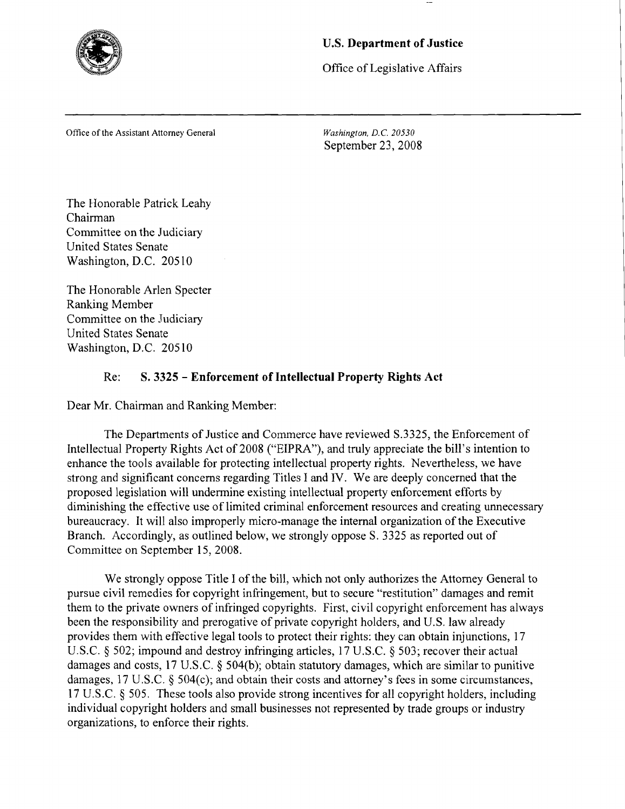

## **U.S. Department of Justice**

Office of Legislative Affairs

Office of the Assistant Attorney General

*Washington, D.C. 20530*  September 23,2008

The Honorable Patrick Leahy Chairman Committee on the Judiciary United States Senate Washington, D.C. 205 10

The Honorable Arlen Specter Ranking Member Committee on the Judiciary United States Senate Washington, D.C. 205 10

## Re: **S. 3325** - **Enforcement of Intellectual Property Rights Act**

Dear Mr. Chairman and Ranking Member:

The Departments of Justice and Commerce have reviewed S.3325, the Enforcement of Intellectual Property Rights Act of 2008 ("EIPRA"), and truly appreciate the bill's intention to enhance the tools available for protecting intellectual property rights. Nevertheless, we have strong and significant concerns regarding Titles I and IV. We are deeply concerned that the proposed legislation will undermine existing intellectual property enforcement efforts by diminishing the effective use of limited criminal enforcement resources and creating unnecessary bureaucracy. It will also improperly micro-manage the internal organization of the Executive Branch. Accordingly, as outlined below, we strongly oppose S. 3325 as reported out of Committee on September 15,2008.

We strongly oppose Title I of the bill, which not only authorizes the Attorney General to pursue civil remedies for copyright infringement, but to secure "restitution" damages and remit them to the private owners of infringed copyrights. First, civil copyright enforcement has always been the responsibility and prerogative of private copyright holders, and U.S. law already provides them with effective legal tools to protect their rights: they can obtain injunctions, 17 U.S.C. *5* 502; impound and destroy infringing articles, 17 U.S.C. *5* 503; recover their actual damages and costs, 17 U.S.C. *5* 504(b); obtain statutory damages, which are similar to punitive damages, 17 U.S.C. § 504(c); and obtain their costs and attorney's fees in some circumstances, 17 U.S.C. *5* 505. These tools also provide strong incentives for all copyright holders, including individual copyright holders and small businesses not represented by trade groups or industry organizations, to enforce their rights.